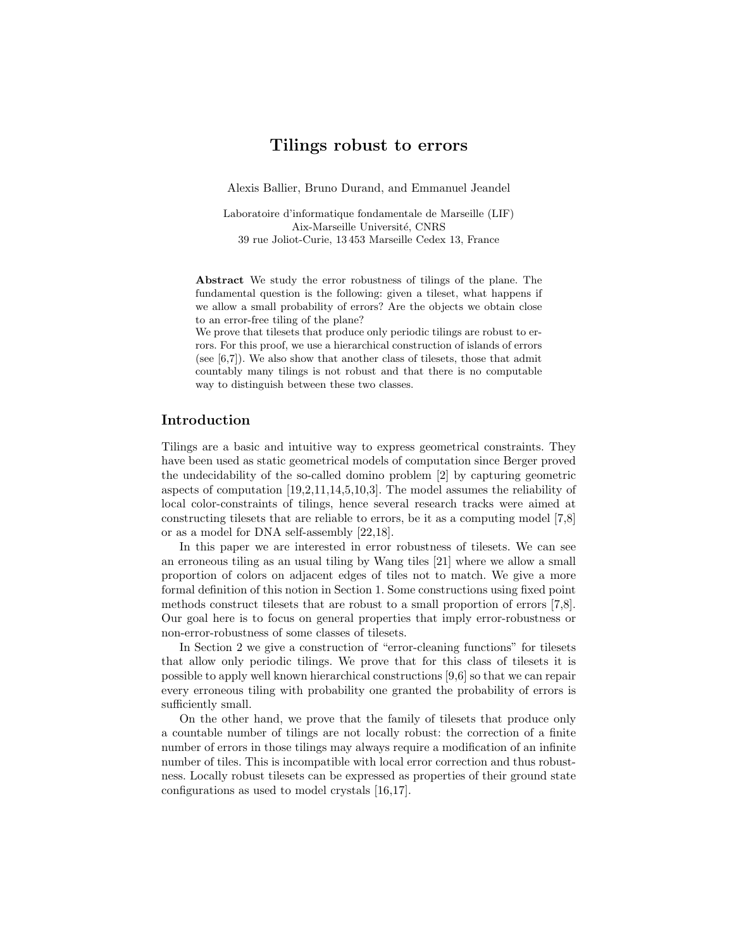## Tilings robust to errors

Alexis Ballier, Bruno Durand, and Emmanuel Jeandel

Laboratoire d'informatique fondamentale de Marseille (LIF) Aix-Marseille Université, CNRS 39 rue Joliot-Curie, 13 453 Marseille Cedex 13, France

Abstract We study the error robustness of tilings of the plane. The fundamental question is the following: given a tileset, what happens if we allow a small probability of errors? Are the objects we obtain close to an error-free tiling of the plane?

We prove that tilesets that produce only periodic tilings are robust to errors. For this proof, we use a hierarchical construction of islands of errors (see [6,7]). We also show that another class of tilesets, those that admit countably many tilings is not robust and that there is no computable way to distinguish between these two classes.

### Introduction

Tilings are a basic and intuitive way to express geometrical constraints. They have been used as static geometrical models of computation since Berger proved the undecidability of the so-called domino problem [2] by capturing geometric aspects of computation [19,2,11,14,5,10,3]. The model assumes the reliability of local color-constraints of tilings, hence several research tracks were aimed at constructing tilesets that are reliable to errors, be it as a computing model [7,8] or as a model for DNA self-assembly [22,18].

In this paper we are interested in error robustness of tilesets. We can see an erroneous tiling as an usual tiling by Wang tiles [21] where we allow a small proportion of colors on adjacent edges of tiles not to match. We give a more formal definition of this notion in Section 1. Some constructions using fixed point methods construct tilesets that are robust to a small proportion of errors [7,8]. Our goal here is to focus on general properties that imply error-robustness or non-error-robustness of some classes of tilesets.

In Section 2 we give a construction of "error-cleaning functions" for tilesets that allow only periodic tilings. We prove that for this class of tilesets it is possible to apply well known hierarchical constructions [9,6] so that we can repair every erroneous tiling with probability one granted the probability of errors is sufficiently small.

On the other hand, we prove that the family of tilesets that produce only a countable number of tilings are not locally robust: the correction of a finite number of errors in those tilings may always require a modification of an infinite number of tiles. This is incompatible with local error correction and thus robustness. Locally robust tilesets can be expressed as properties of their ground state configurations as used to model crystals [16,17].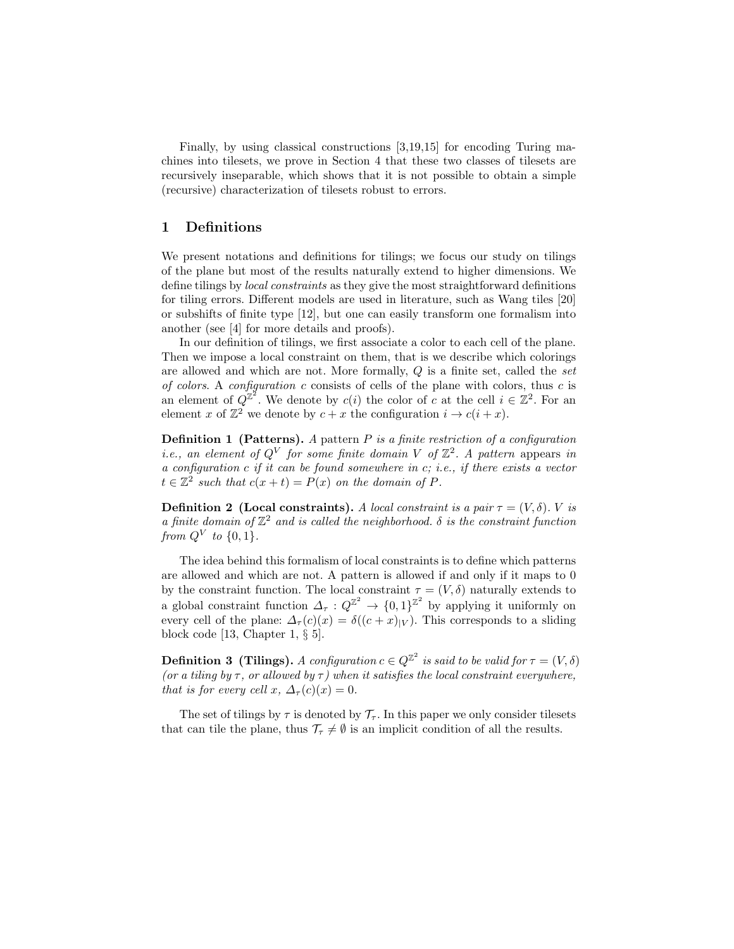Finally, by using classical constructions [3,19,15] for encoding Turing machines into tilesets, we prove in Section 4 that these two classes of tilesets are recursively inseparable, which shows that it is not possible to obtain a simple (recursive) characterization of tilesets robust to errors.

## 1 Definitions

We present notations and definitions for tilings; we focus our study on tilings of the plane but most of the results naturally extend to higher dimensions. We define tilings by local constraints as they give the most straightforward definitions for tiling errors. Different models are used in literature, such as Wang tiles [20] or subshifts of finite type [12], but one can easily transform one formalism into another (see [4] for more details and proofs).

In our definition of tilings, we first associate a color to each cell of the plane. Then we impose a local constraint on them, that is we describe which colorings are allowed and which are not. More formally, Q is a finite set, called the set of colors. A configuration c consists of cells of the plane with colors, thus  $c$  is an element of  $Q^{\mathbb{Z}^2}$ . We denote by  $c(i)$  the color of c at the cell  $i \in \mathbb{Z}^2$ . For an element x of  $\mathbb{Z}^2$  we denote by  $c + x$  the configuration  $i \to c(i + x)$ .

**Definition 1 (Patterns).** A pattern P is a finite restriction of a configuration *i.e.*, an element of  $Q^V$  for some finite domain V of  $\mathbb{Z}^2$ . A pattern appears in a configuration  $c$  if it can be found somewhere in  $c$ , i.e., if there exists a vector  $t \in \mathbb{Z}^2$  such that  $c(x+t) = P(x)$  on the domain of P.

**Definition 2 (Local constraints).** A local constraint is a pair  $\tau = (V, \delta)$ . V is a finite domain of  $\mathbb{Z}^2$  and is called the neighborhood.  $\delta$  is the constraint function from  $Q^V$  to  $\{0,1\}$ .

The idea behind this formalism of local constraints is to define which patterns are allowed and which are not. A pattern is allowed if and only if it maps to 0 by the constraint function. The local constraint  $\tau = (V, \delta)$  naturally extends to a global constraint function  $\Delta_{\tau}: Q^{\mathbb{Z}^2} \to \{0,1\}^{\mathbb{Z}^2}$  by applying it uniformly on every cell of the plane:  $\Delta_{\tau}(c)(x) = \delta((c+x)_{|V})$ . This corresponds to a sliding block code [13, Chapter 1, § 5].

**Definition 3 (Tilings).** A configuration  $c \in Q^{\mathbb{Z}^2}$  is said to be valid for  $\tau = (V, \delta)$ (or a tiling by  $\tau$ , or allowed by  $\tau$ ) when it satisfies the local constraint everywhere, that is for every cell x,  $\Delta_{\tau}(c)(x) = 0$ .

The set of tilings by  $\tau$  is denoted by  $\mathcal{T}_{\tau}$ . In this paper we only consider tilesets that can tile the plane, thus  $\mathcal{T}_{\tau} \neq \emptyset$  is an implicit condition of all the results.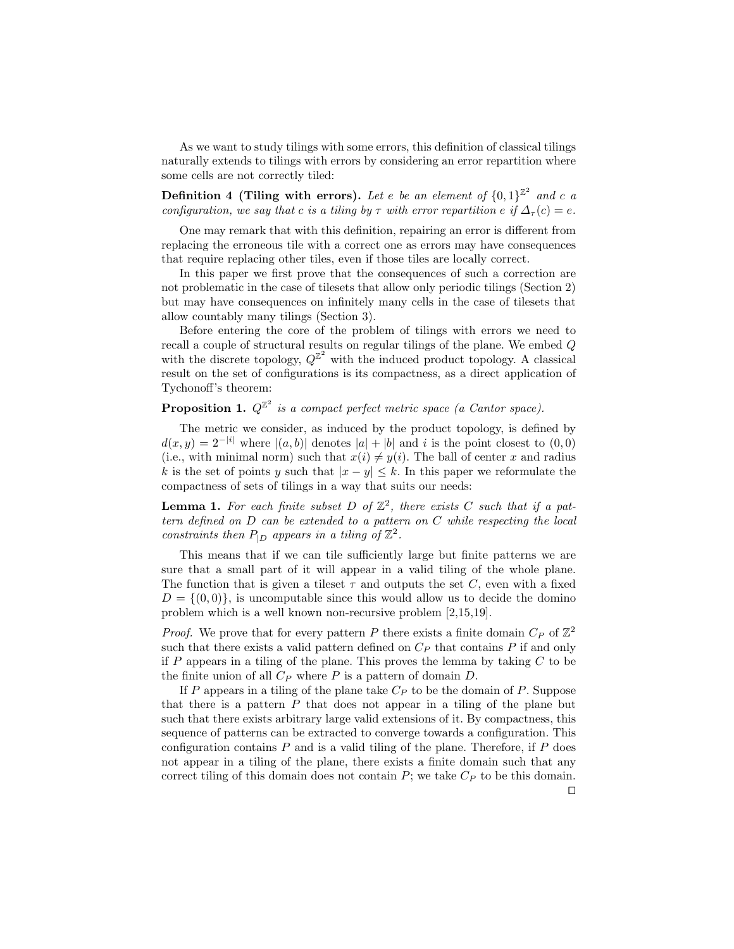As we want to study tilings with some errors, this definition of classical tilings naturally extends to tilings with errors by considering an error repartition where some cells are not correctly tiled:

Definition 4 (Tiling with errors). Let e be an element of  $\{0,1\}^{\mathbb{Z}^2}$  and c a configuration, we say that c is a tiling by  $\tau$  with error repartition e if  $\Delta_{\tau}(c) = e$ .

One may remark that with this definition, repairing an error is different from replacing the erroneous tile with a correct one as errors may have consequences that require replacing other tiles, even if those tiles are locally correct.

In this paper we first prove that the consequences of such a correction are not problematic in the case of tilesets that allow only periodic tilings (Section 2) but may have consequences on infinitely many cells in the case of tilesets that allow countably many tilings (Section 3).

Before entering the core of the problem of tilings with errors we need to recall a couple of structural results on regular tilings of the plane. We embed Q with the discrete topology,  $Q^{\mathbb{Z}^2}$  with the induced product topology. A classical result on the set of configurations is its compactness, as a direct application of Tychonoff's theorem:

# **Proposition 1.**  $Q^{\mathbb{Z}^2}$  is a compact perfect metric space (a Cantor space).

The metric we consider, as induced by the product topology, is defined by  $d(x, y) = 2^{-|i|}$  where  $|(a, b)|$  denotes  $|a| + |b|$  and i is the point closest to  $(0, 0)$ (i.e., with minimal norm) such that  $x(i) \neq y(i)$ . The ball of center x and radius k is the set of points y such that  $|x - y| \leq k$ . In this paper we reformulate the compactness of sets of tilings in a way that suits our needs:

**Lemma 1.** For each finite subset D of  $\mathbb{Z}^2$ , there exists C such that if a pattern defined on D can be extended to a pattern on C while respecting the local constraints then  $P_{|D}$  appears in a tiling of  $\mathbb{Z}^2$ .

This means that if we can tile sufficiently large but finite patterns we are sure that a small part of it will appear in a valid tiling of the whole plane. The function that is given a tileset  $\tau$  and outputs the set C, even with a fixed  $D = \{(0, 0)\}\,$  is uncomputable since this would allow us to decide the domino problem which is a well known non-recursive problem [2,15,19].

*Proof.* We prove that for every pattern P there exists a finite domain  $C_P$  of  $\mathbb{Z}^2$ such that there exists a valid pattern defined on  $C_P$  that contains  $P$  if and only if P appears in a tiling of the plane. This proves the lemma by taking  $C$  to be the finite union of all  $C_P$  where P is a pattern of domain D.

If P appears in a tiling of the plane take  $C_P$  to be the domain of P. Suppose that there is a pattern  $P$  that does not appear in a tiling of the plane but such that there exists arbitrary large valid extensions of it. By compactness, this sequence of patterns can be extracted to converge towards a configuration. This configuration contains  $P$  and is a valid tiling of the plane. Therefore, if  $P$  does not appear in a tiling of the plane, there exists a finite domain such that any correct tiling of this domain does not contain  $P$ ; we take  $C_P$  to be this domain.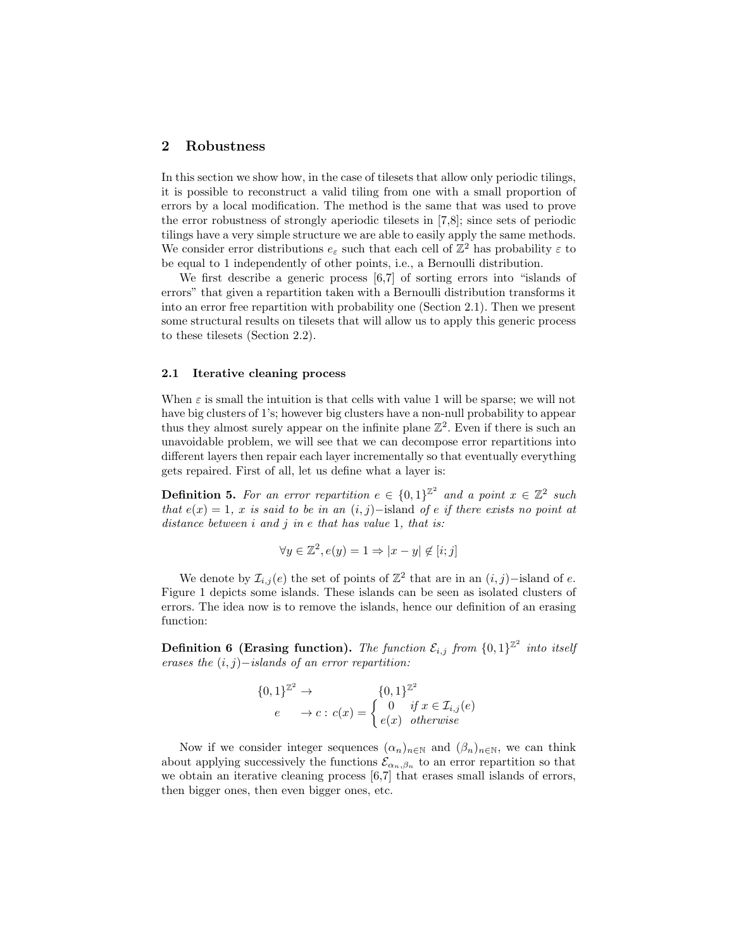## 2 Robustness

In this section we show how, in the case of tilesets that allow only periodic tilings, it is possible to reconstruct a valid tiling from one with a small proportion of errors by a local modification. The method is the same that was used to prove the error robustness of strongly aperiodic tilesets in [7,8]; since sets of periodic tilings have a very simple structure we are able to easily apply the same methods. We consider error distributions  $e_{\varepsilon}$  such that each cell of  $\mathbb{Z}^2$  has probability  $\varepsilon$  to be equal to 1 independently of other points, i.e., a Bernoulli distribution.

We first describe a generic process [6,7] of sorting errors into "islands of errors" that given a repartition taken with a Bernoulli distribution transforms it into an error free repartition with probability one (Section 2.1). Then we present some structural results on tilesets that will allow us to apply this generic process to these tilesets (Section 2.2).

#### 2.1 Iterative cleaning process

When  $\varepsilon$  is small the intuition is that cells with value 1 will be sparse; we will not have big clusters of 1's; however big clusters have a non-null probability to appear thus they almost surely appear on the infinite plane  $\mathbb{Z}^2$ . Even if there is such an unavoidable problem, we will see that we can decompose error repartitions into different layers then repair each layer incrementally so that eventually everything gets repaired. First of all, let us define what a layer is:

**Definition 5.** For an error repartition  $e \in \{0,1\}^{\mathbb{Z}^2}$  and a point  $x \in \mathbb{Z}^2$  such that  $e(x) = 1$ , x is said to be in an  $(i, j)$ −island of e if there exists no point at distance between  $i$  and  $j$  in  $e$  that has value 1, that is:

$$
\forall y \in \mathbb{Z}^2, e(y) = 1 \Rightarrow |x - y| \notin [i; j]
$$

We denote by  $\mathcal{I}_{i,j}(e)$  the set of points of  $\mathbb{Z}^2$  that are in an  $(i, j)$ -island of e. Figure 1 depicts some islands. These islands can be seen as isolated clusters of errors. The idea now is to remove the islands, hence our definition of an erasing function:

**Definition 6 (Erasing function).** The function  $\mathcal{E}_{i,j}$  from  $\{0,1\}^{\mathbb{Z}^2}$  into itself erases the  $(i, j)$ −islands of an error repartition:

$$
\{0,1\}^{\mathbb{Z}^2} \to
$$
  
\n
$$
e \to c : c(x) = \begin{cases} 0,1\}^{\mathbb{Z}^2} & \text{if } x \in \mathcal{I}_{i,j}(e) \\ e(x) & \text{otherwise} \end{cases}
$$

Now if we consider integer sequences  $(\alpha_n)_{n\in\mathbb{N}}$  and  $(\beta_n)_{n\in\mathbb{N}}$ , we can think about applying successively the functions  $\mathcal{E}_{\alpha_n,\beta_n}$  to an error repartition so that we obtain an iterative cleaning process [6,7] that erases small islands of errors, then bigger ones, then even bigger ones, etc.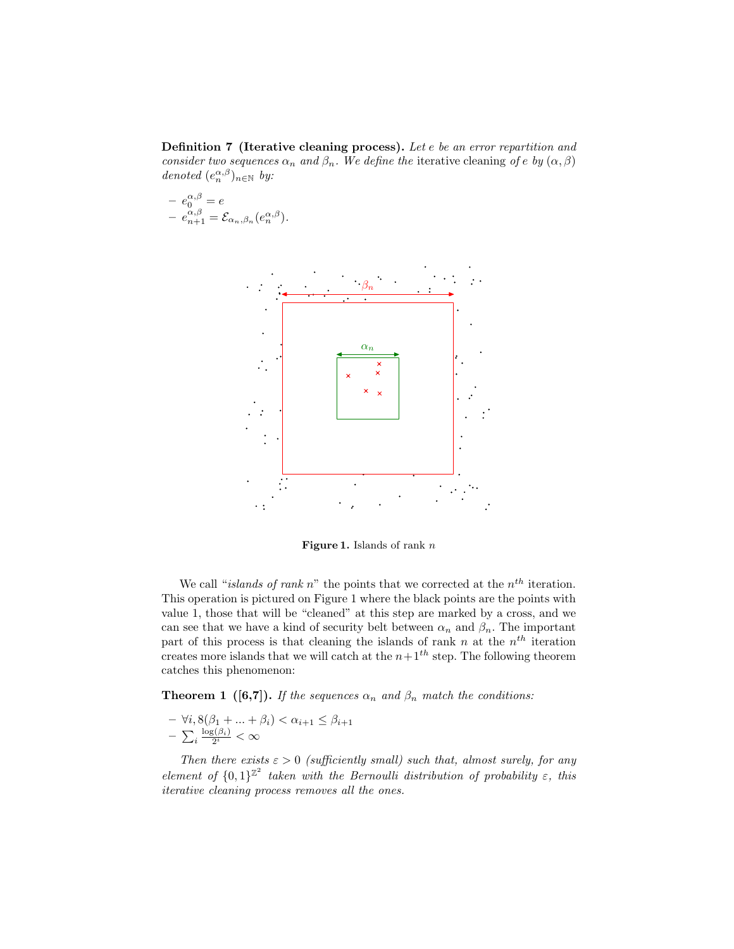Definition 7 (Iterative cleaning process). Let e be an error repartition and consider two sequences  $\alpha_n$  and  $\beta_n$ . We define the iterative cleaning of e by  $(\alpha, \beta)$ denoted  $(e_n^{\alpha,\beta})_{n\in\mathbb{N}}$  by:

$$
- e_0^{\alpha,\beta} = e
$$
  

$$
- e_{n+1}^{\alpha,\beta} = \mathcal{E}_{\alpha_n,\beta_n}(e_n^{\alpha,\beta}).
$$



Figure 1. Islands of rank  $n$ 

We call "*islands of rank*  $n$ " the points that we corrected at the  $n^{th}$  iteration. This operation is pictured on Figure 1 where the black points are the points with value 1, those that will be "cleaned" at this step are marked by a cross, and we can see that we have a kind of security belt between  $\alpha_n$  and  $\beta_n$ . The important part of this process is that cleaning the islands of rank n at the  $n<sup>th</sup>$  iteration creates more islands that we will catch at the  $n+1<sup>th</sup>$  step. The following theorem catches this phenomenon:

**Theorem 1** ([6,7]). If the sequences  $\alpha_n$  and  $\beta_n$  match the conditions:

$$
- \forall i, 8(\beta_1 + \dots + \beta_i) < \alpha_{i+1} \le \beta_{i+1}
$$
  
- 
$$
\sum_{i} \frac{\log(\beta_i)}{2^i} < \infty
$$

Then there exists  $\varepsilon > 0$  (sufficiently small) such that, almost surely, for any element of  ${0,1}^{\mathbb{Z}^2}$  taken with the Bernoulli distribution of probability  $\varepsilon$ , this iterative cleaning process removes all the ones.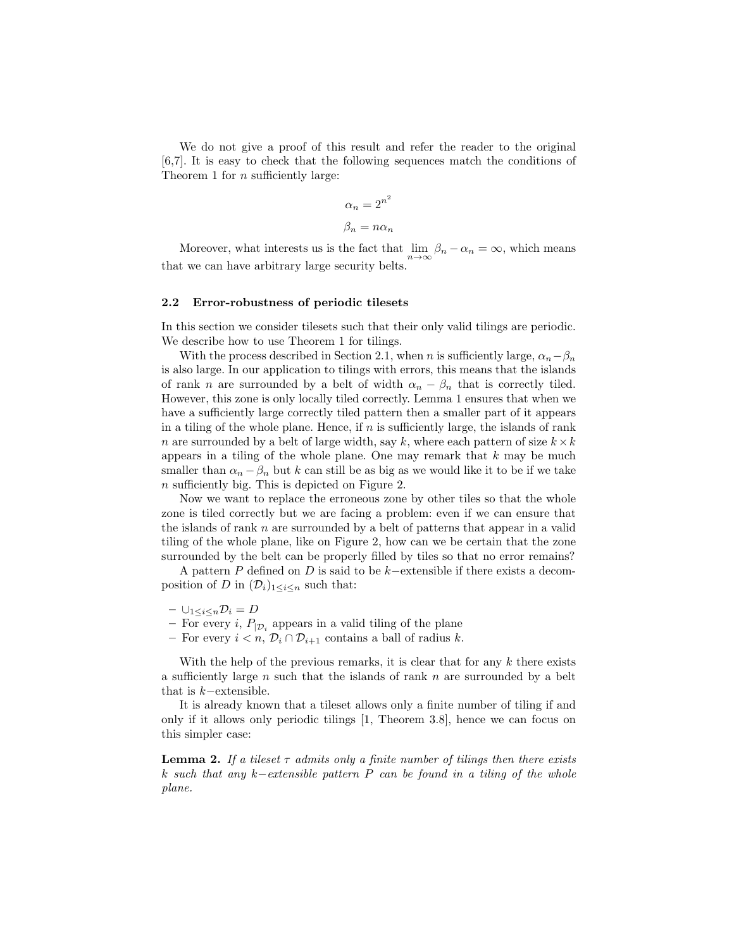We do not give a proof of this result and refer the reader to the original [6,7]. It is easy to check that the following sequences match the conditions of Theorem 1 for n sufficiently large:

$$
\alpha_n = 2^{n^2}
$$

$$
\beta_n = n\alpha_n
$$

Moreover, what interests us is the fact that  $\lim_{n\to\infty} \beta_n - \alpha_n = \infty$ , which means that we can have arbitrary large security belts.

#### 2.2 Error-robustness of periodic tilesets

In this section we consider tilesets such that their only valid tilings are periodic. We describe how to use Theorem 1 for tilings.

With the process described in Section 2.1, when n is sufficiently large,  $\alpha_n-\beta_n$ is also large. In our application to tilings with errors, this means that the islands of rank n are surrounded by a belt of width  $\alpha_n - \beta_n$  that is correctly tiled. However, this zone is only locally tiled correctly. Lemma 1 ensures that when we have a sufficiently large correctly tiled pattern then a smaller part of it appears in a tiling of the whole plane. Hence, if  $n$  is sufficiently large, the islands of rank n are surrounded by a belt of large width, say k, where each pattern of size  $k \times k$ appears in a tiling of the whole plane. One may remark that  $k$  may be much smaller than  $\alpha_n - \beta_n$  but k can still be as big as we would like it to be if we take n sufficiently big. This is depicted on Figure 2.

Now we want to replace the erroneous zone by other tiles so that the whole zone is tiled correctly but we are facing a problem: even if we can ensure that the islands of rank  $n$  are surrounded by a belt of patterns that appear in a valid tiling of the whole plane, like on Figure 2, how can we be certain that the zone surrounded by the belt can be properly filled by tiles so that no error remains?

A pattern P defined on D is said to be k−extensible if there exists a decomposition of D in  $(\mathcal{D}_i)_{1\leq i\leq n}$  such that:

- $\cup_{1 \leq i \leq n} \mathcal{D}_i = D$
- For every *i*,  $P_{\mathcal{D}_i}$  appears in a valid tiling of the plane
- For every  $i < n$ ,  $\mathcal{D}_i \cap \mathcal{D}_{i+1}$  contains a ball of radius k.

With the help of the previous remarks, it is clear that for any  $k$  there exists a sufficiently large n such that the islands of rank  $n$  are surrounded by a belt that is  $k$ −extensible.

It is already known that a tileset allows only a finite number of tiling if and only if it allows only periodic tilings [1, Theorem 3.8], hence we can focus on this simpler case:

**Lemma 2.** If a tileset  $\tau$  admits only a finite number of tilings then there exists k such that any k−extensible pattern P can be found in a tiling of the whole plane.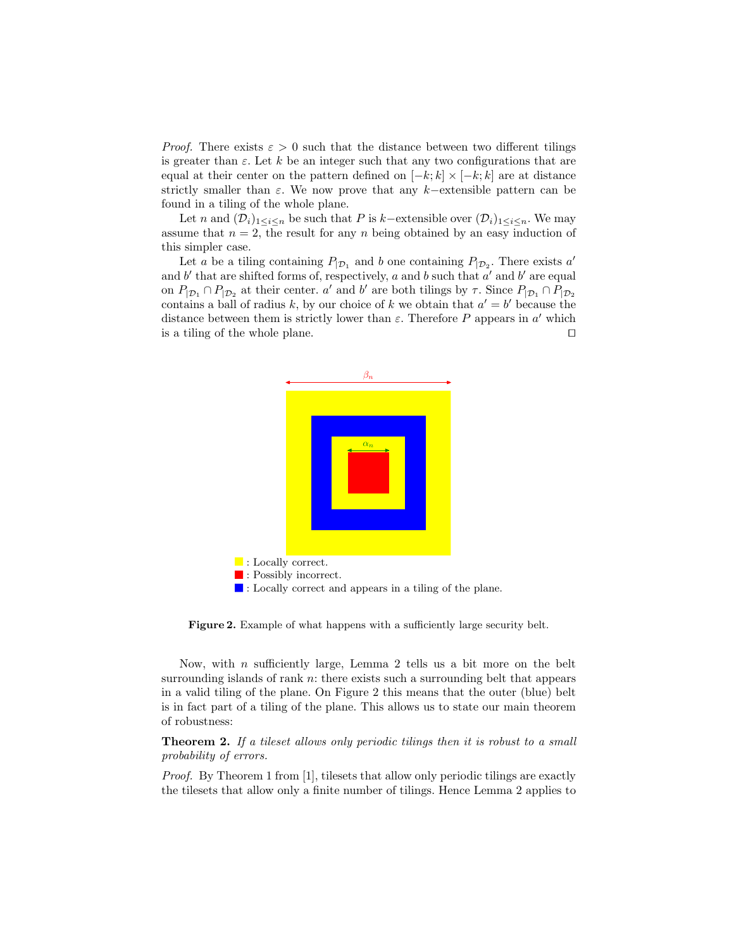*Proof.* There exists  $\varepsilon > 0$  such that the distance between two different tilings is greater than  $\varepsilon$ . Let k be an integer such that any two configurations that are equal at their center on the pattern defined on  $[-k; k] \times [-k; k]$  are at distance strictly smaller than  $\varepsilon$ . We now prove that any k–extensible pattern can be found in a tiling of the whole plane.

Let n and  $(\mathcal{D}_i)_{1\leq i\leq n}$  be such that P is k–extensible over  $(\mathcal{D}_i)_{1\leq i\leq n}$ . We may assume that  $n = 2$ , the result for any n being obtained by an easy induction of this simpler case.

Let a be a tiling containing  $P_{\vert \mathcal{D}_1}$  and b one containing  $P_{\vert \mathcal{D}_2}$ . There exists a' and  $b'$  that are shifted forms of, respectively, a and b such that  $a'$  and  $b'$  are equal on  $P_{|D_1} \cap P_{|D_2}$  at their center. a' and b' are both tilings by  $\tau$ . Since  $P_{|D_1} \cap P_{|D_2}$ contains a ball of radius k, by our choice of k we obtain that  $a' = b'$  because the distance between them is strictly lower than  $\varepsilon$ . Therefore P appears in  $a'$  which is a tiling of the whole plane.  $\Box$ 



Figure 2. Example of what happens with a sufficiently large security belt.

Now, with  $n$  sufficiently large, Lemma 2 tells us a bit more on the belt surrounding islands of rank  $n$ : there exists such a surrounding belt that appears in a valid tiling of the plane. On Figure 2 this means that the outer (blue) belt is in fact part of a tiling of the plane. This allows us to state our main theorem of robustness:

Theorem 2. If a tileset allows only periodic tilings then it is robust to a small probability of errors.

Proof. By Theorem 1 from [1], tilesets that allow only periodic tilings are exactly the tilesets that allow only a finite number of tilings. Hence Lemma 2 applies to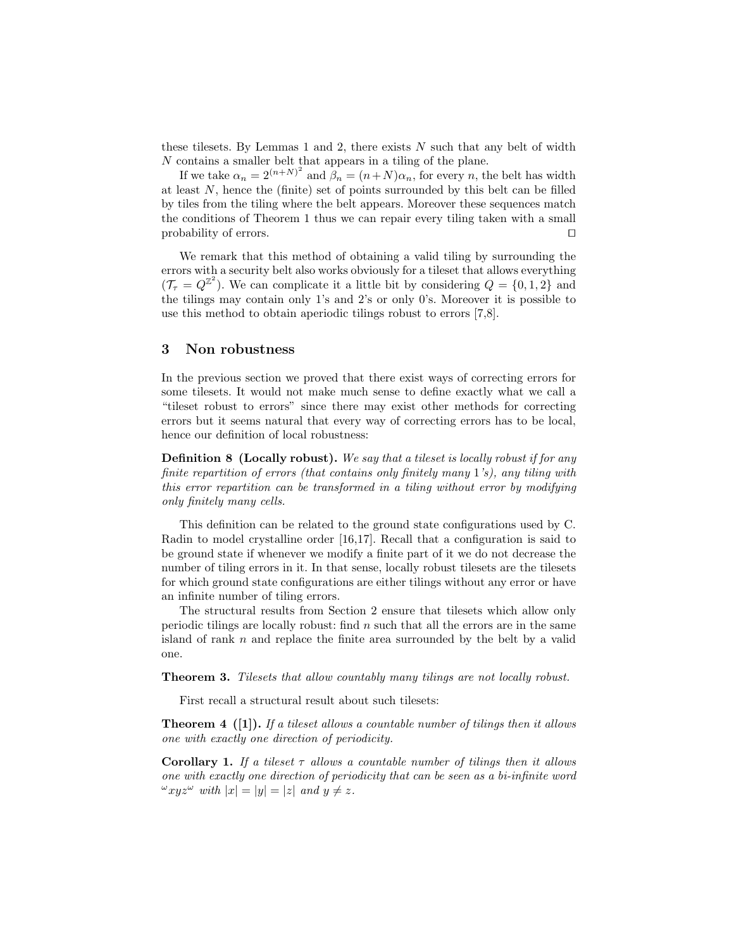these tilesets. By Lemmas 1 and 2, there exists  $N$  such that any belt of width N contains a smaller belt that appears in a tiling of the plane.

If we take  $\alpha_n = 2^{(n+N)^2}$  and  $\beta_n = (n+N)\alpha_n$ , for every n, the belt has width at least  $N$ , hence the (finite) set of points surrounded by this belt can be filled by tiles from the tiling where the belt appears. Moreover these sequences match the conditions of Theorem 1 thus we can repair every tiling taken with a small probability of errors.  $\Box$ 

We remark that this method of obtaining a valid tiling by surrounding the errors with a security belt also works obviously for a tileset that allows everything  $(\mathcal{T}_{\tau} = Q^{\mathbb{Z}^2})$ . We can complicate it a little bit by considering  $Q = \{0, 1, 2\}$  and the tilings may contain only 1's and 2's or only 0's. Moreover it is possible to use this method to obtain aperiodic tilings robust to errors [7,8].

### 3 Non robustness

In the previous section we proved that there exist ways of correcting errors for some tilesets. It would not make much sense to define exactly what we call a "tileset robust to errors" since there may exist other methods for correcting errors but it seems natural that every way of correcting errors has to be local, hence our definition of local robustness:

**Definition 8 (Locally robust).** We say that a tileset is locally robust if for any finite repartition of errors (that contains only finitely many 1's), any tiling with this error repartition can be transformed in a tiling without error by modifying only finitely many cells.

This definition can be related to the ground state configurations used by C. Radin to model crystalline order [16,17]. Recall that a configuration is said to be ground state if whenever we modify a finite part of it we do not decrease the number of tiling errors in it. In that sense, locally robust tilesets are the tilesets for which ground state configurations are either tilings without any error or have an infinite number of tiling errors.

The structural results from Section 2 ensure that tilesets which allow only periodic tilings are locally robust: find  $n$  such that all the errors are in the same island of rank  $n$  and replace the finite area surrounded by the belt by a valid one.

Theorem 3. Tilesets that allow countably many tilings are not locally robust.

First recall a structural result about such tilesets:

**Theorem 4** ([1]). If a tileset allows a countable number of tilings then it allows one with exactly one direction of periodicity.

**Corollary 1.** If a tileset  $\tau$  allows a countable number of tilings then it allows one with exactly one direction of periodicity that can be seen as a bi-infinite word  $\omega$ xyz $\omega$  with  $|x| = |y| = |z|$  and  $y \neq z$ .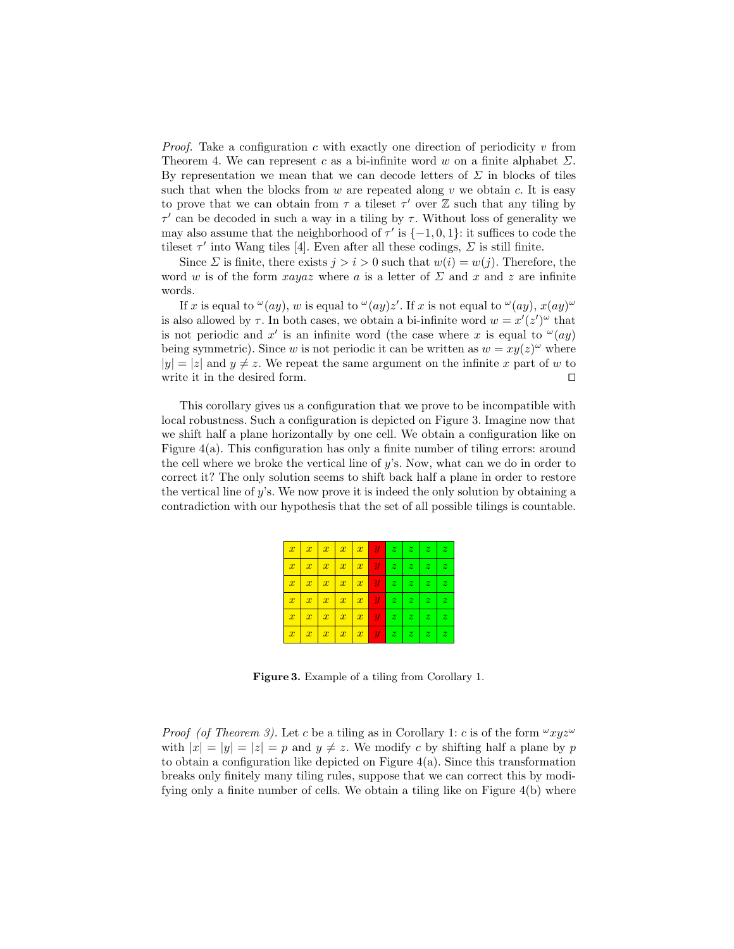*Proof.* Take a configuration c with exactly one direction of periodicity v from Theorem 4. We can represent c as a bi-infinite word w on a finite alphabet  $\Sigma$ . By representation we mean that we can decode letters of  $\Sigma$  in blocks of tiles such that when the blocks from  $w$  are repeated along  $v$  we obtain  $c$ . It is easy to prove that we can obtain from  $\tau$  a tileset  $\tau'$  over  $\mathbb Z$  such that any tiling by  $\tau'$  can be decoded in such a way in a tiling by  $\tau$ . Without loss of generality we may also assume that the neighborhood of  $\tau'$  is  $\{-1,0,1\}$ : it suffices to code the tileset  $\tau'$  into Wang tiles [4]. Even after all these codings,  $\Sigma$  is still finite.

Since  $\Sigma$  is finite, there exists  $j > i > 0$  such that  $w(i) = w(j)$ . Therefore, the word w is of the form  $xayaz$  where a is a letter of  $\Sigma$  and x and z are infinite words.

If x is equal to  $\omega(ay)$ , w is equal to  $\omega(ay)z'$ . If x is not equal to  $\omega(ay)$ ,  $x(ay)$ is also allowed by  $\tau$ . In both cases, we obtain a bi-infinite word  $w = x'(z')^{\omega}$  that is not periodic and x' is an infinite word (the case where x is equal to  $\omega(ay)$ ) being symmetric). Since w is not periodic it can be written as  $w = xy(z)^\omega$  where  $|y| = |z|$  and  $y \neq z$ . We repeat the same argument on the infinite x part of w to write it in the desired form.  $\Box$ 

This corollary gives us a configuration that we prove to be incompatible with local robustness. Such a configuration is depicted on Figure 3. Imagine now that we shift half a plane horizontally by one cell. We obtain a configuration like on Figure  $4(a)$ . This configuration has only a finite number of tiling errors: around the cell where we broke the vertical line of y's. Now, what can we do in order to correct it? The only solution seems to shift back half a plane in order to restore the vertical line of y's. We now prove it is indeed the only solution by obtaining a contradiction with our hypothesis that the set of all possible tilings is countable.

| $\boldsymbol{x}$ | $\boldsymbol{x}$ | $\boldsymbol{x}$ | $\vert x$     | $\mathbf{x}$<br>Ш.          | $\boldsymbol{y}$ | $z_{\perp}$           | $\boldsymbol{z}$<br>-1 | $\boldsymbol{z}$ | $\boldsymbol{z}$ |
|------------------|------------------|------------------|---------------|-----------------------------|------------------|-----------------------|------------------------|------------------|------------------|
| $\boldsymbol{x}$ | $\boldsymbol{x}$ | $\boldsymbol{x}$ | $\parallel x$ | $\mathbf{x}$<br>Т           | $\boldsymbol{y}$ | $z_{\perp}$           | z                      | $\boldsymbol{z}$ | $\boldsymbol{z}$ |
| $\overline{x}$   | $\boldsymbol{x}$ | $\boldsymbol{x}$ | $\parallel x$ | $\mathbf{x}$<br>۰           | $\boldsymbol{y}$ | $z_{\perp}$           | z                      | $\boldsymbol{z}$ | $\boldsymbol{z}$ |
| $\overline{x}$   | $\boldsymbol{x}$ | $\boldsymbol{x}$ | $\vert x$     | $\boldsymbol{x}$<br>Ш.      | $\boldsymbol{y}$ | ♦<br>$\boldsymbol{z}$ | $\vert z \vert$        | $\boldsymbol{z}$ | $\boldsymbol{z}$ |
| $\boldsymbol{x}$ | $\boldsymbol{x}$ | $\boldsymbol{x}$ | $\parallel x$ | $\boldsymbol{x}$<br>Τ<br>т  | $\mathbf{u}$     | z <sub>1</sub>        | z                      | $\boldsymbol{z}$ | $\boldsymbol{z}$ |
| $\boldsymbol{x}$ | $\overline{x}$   | $\boldsymbol{x}$ | $\mathbf{x}$  | $\boldsymbol{x}$<br>Т.<br>п | $\boldsymbol{y}$ | $z_{\perp}$           | $\vert z \vert$        | $\boldsymbol{z}$ | z                |

Figure 3. Example of a tiling from Corollary 1.

*Proof (of Theorem 3).* Let c be a tiling as in Corollary 1: c is of the form  $\omega_{xyz} \omega$ with  $|x| = |y| = |z| = p$  and  $y \neq z$ . We modify c by shifting half a plane by p to obtain a configuration like depicted on Figure 4(a). Since this transformation breaks only finitely many tiling rules, suppose that we can correct this by modifying only a finite number of cells. We obtain a tiling like on Figure 4(b) where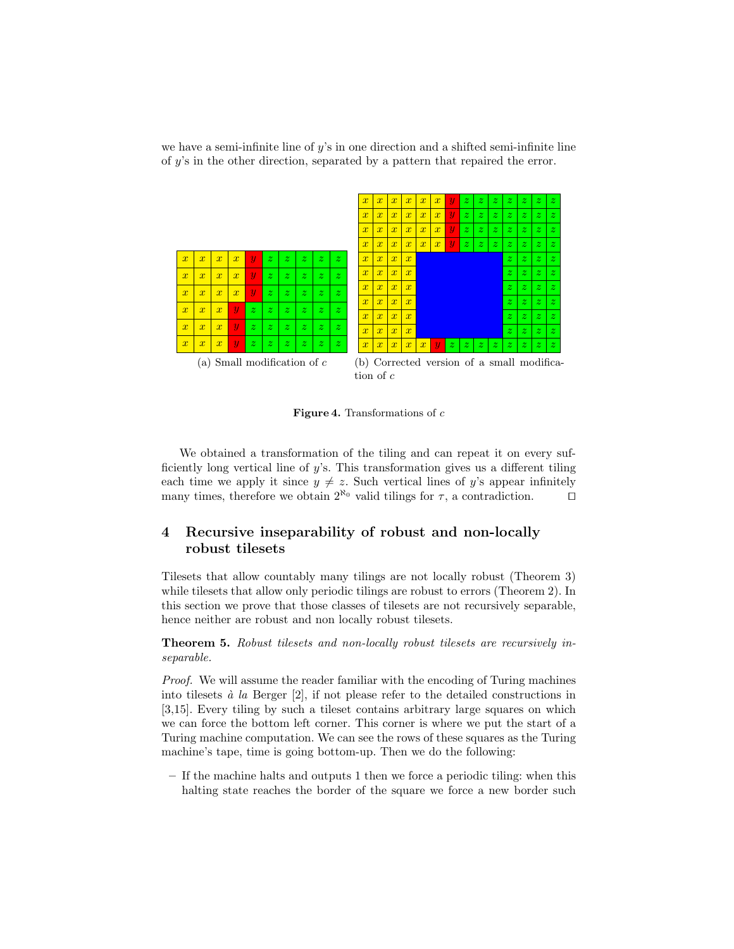we have a semi-infinite line of  $y$ 's in one direction and a shifted semi-infinite line of y's in the other direction, separated by a pattern that repaired the error.



Figure 4. Transformations of  $c$ 

We obtained a transformation of the tiling and can repeat it on every sufficiently long vertical line of  $y$ 's. This transformation gives us a different tiling each time we apply it since  $y \neq z$ . Such vertical lines of y's appear infinitely many times, therefore we obtain  $2^{\aleph_0}$  valid tilings for  $\tau$ , a contradiction.  $\square$ 

## 4 Recursive inseparability of robust and non-locally robust tilesets

Tilesets that allow countably many tilings are not locally robust (Theorem 3) while tilesets that allow only periodic tilings are robust to errors (Theorem 2). In this section we prove that those classes of tilesets are not recursively separable, hence neither are robust and non locally robust tilesets.

Theorem 5. Robust tilesets and non-locally robust tilesets are recursively inseparable.

Proof. We will assume the reader familiar with the encoding of Turing machines into tilesets  $\dot{a}$  la Berger [2], if not please refer to the detailed constructions in [3,15]. Every tiling by such a tileset contains arbitrary large squares on which we can force the bottom left corner. This corner is where we put the start of a Turing machine computation. We can see the rows of these squares as the Turing machine's tape, time is going bottom-up. Then we do the following:

– If the machine halts and outputs 1 then we force a periodic tiling: when this halting state reaches the border of the square we force a new border such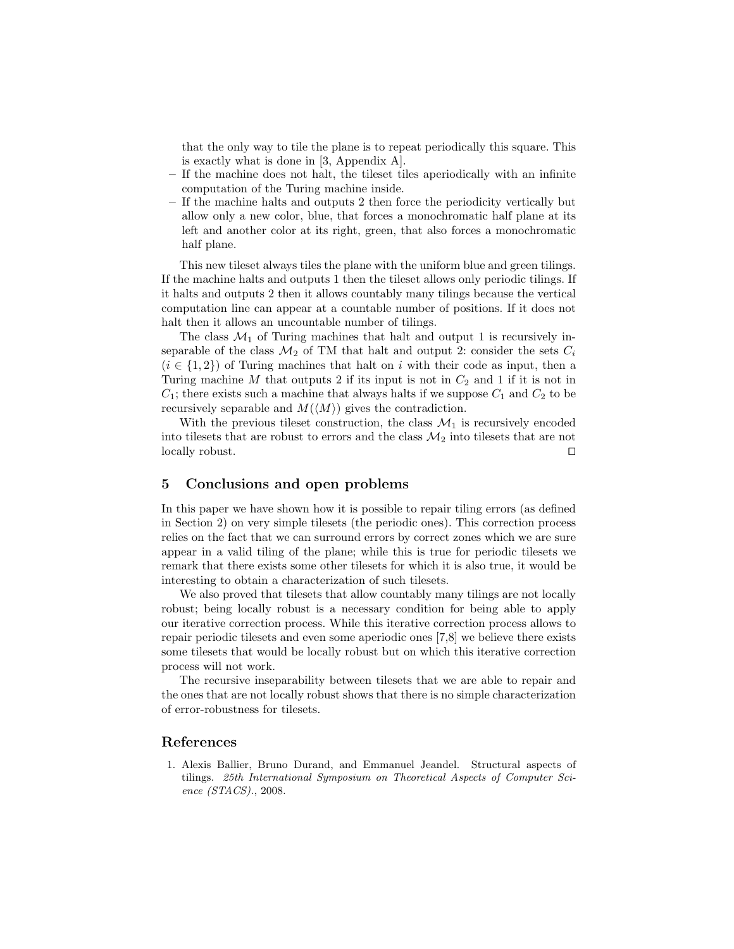that the only way to tile the plane is to repeat periodically this square. This is exactly what is done in [3, Appendix A].

- If the machine does not halt, the tileset tiles aperiodically with an infinite computation of the Turing machine inside.
- If the machine halts and outputs 2 then force the periodicity vertically but allow only a new color, blue, that forces a monochromatic half plane at its left and another color at its right, green, that also forces a monochromatic half plane.

This new tileset always tiles the plane with the uniform blue and green tilings. If the machine halts and outputs 1 then the tileset allows only periodic tilings. If it halts and outputs 2 then it allows countably many tilings because the vertical computation line can appear at a countable number of positions. If it does not halt then it allows an uncountable number of tilings.

The class  $\mathcal{M}_1$  of Turing machines that halt and output 1 is recursively inseparable of the class  $\mathcal{M}_2$  of TM that halt and output 2: consider the sets  $C_i$  $(i \in \{1,2\})$  of Turing machines that halt on i with their code as input, then a Turing machine M that outputs 2 if its input is not in  $C_2$  and 1 if it is not in  $C_1$ ; there exists such a machine that always halts if we suppose  $C_1$  and  $C_2$  to be recursively separable and  $M(\langle M \rangle)$  gives the contradiction.

With the previous tileset construction, the class  $\mathcal{M}_1$  is recursively encoded into tilesets that are robust to errors and the class  $\mathcal{M}_2$  into tilesets that are not  $\Box$  locally robust.

### 5 Conclusions and open problems

In this paper we have shown how it is possible to repair tiling errors (as defined in Section 2) on very simple tilesets (the periodic ones). This correction process relies on the fact that we can surround errors by correct zones which we are sure appear in a valid tiling of the plane; while this is true for periodic tilesets we remark that there exists some other tilesets for which it is also true, it would be interesting to obtain a characterization of such tilesets.

We also proved that tilesets that allow countably many tilings are not locally robust; being locally robust is a necessary condition for being able to apply our iterative correction process. While this iterative correction process allows to repair periodic tilesets and even some aperiodic ones [7,8] we believe there exists some tilesets that would be locally robust but on which this iterative correction process will not work.

The recursive inseparability between tilesets that we are able to repair and the ones that are not locally robust shows that there is no simple characterization of error-robustness for tilesets.

#### References

1. Alexis Ballier, Bruno Durand, and Emmanuel Jeandel. Structural aspects of tilings. 25th International Symposium on Theoretical Aspects of Computer Science (STACS)., 2008.